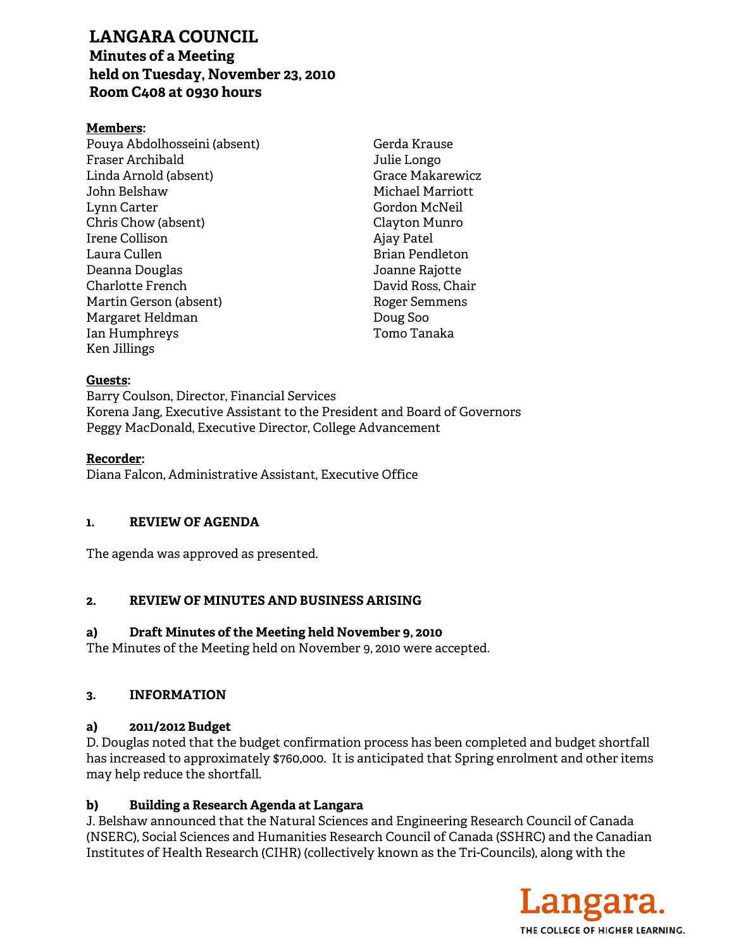# **LANGARA COUNCIL**

# **Minutes of a Meeting held on Tuesday, November 23, 2010 Room C408 at 0930 hours**

# **Members:**

Pouya Abdolhosseini (absent) Fraser Archibald Linda Arnold (absent) John Belshaw Lynn Carter Chris Chow (absent) Irene Collison Laura Cullen Deanna Douglas Charlotte French Martin Gerson (absent) Margaret Heldman Ian Humphreys Ken Jillings

Gerda Krause Julie Longo Grace Makarewicz Michael Marriott Gordon McNeil Clayton Munro Ajay Patel Brian Pendleton Joanne Rajotte David Ross, Chair Roger Semmens Doug Soo Tomo Tanaka

#### **Guests:**

Barry Coulson, Director, Financial Services Korena Jang, Executive Assistant to the President and Board of Governors Peggy MacDonald, Executive Director, College Advancement

#### **Recorder:**

Diana Falcon, Administrative Assistant, Executive Office

## **1. REVIEW OF AGENDA**

The agenda was approved as presented.

## **2. REVIEW OF MINUTES AND BUSINESS ARISING**

## **a) Draft Minutes of the Meeting held November 9, 2010**

The Minutes of the Meeting held on November 9, 2010 were accepted.

## **3. INFORMATION**

## **a) 2011/2012 Budget**

D. Douglas noted that the budget confirmation process has been completed and budget shortfall has increased to approximately \$760,000. It is anticipated that Spring enrolment and other items may help reduce the shortfall.

## **b) Building a Research Agenda at Langara**

J. Belshaw announced that the Natural Sciences and Engineering Research Council of Canada (NSERC), Social Sciences and Humanities Research Council of Canada (SSHRC) and the Canadian Institutes of Health Research (CIHR) (collectively known as the Tri-Councils), along with the